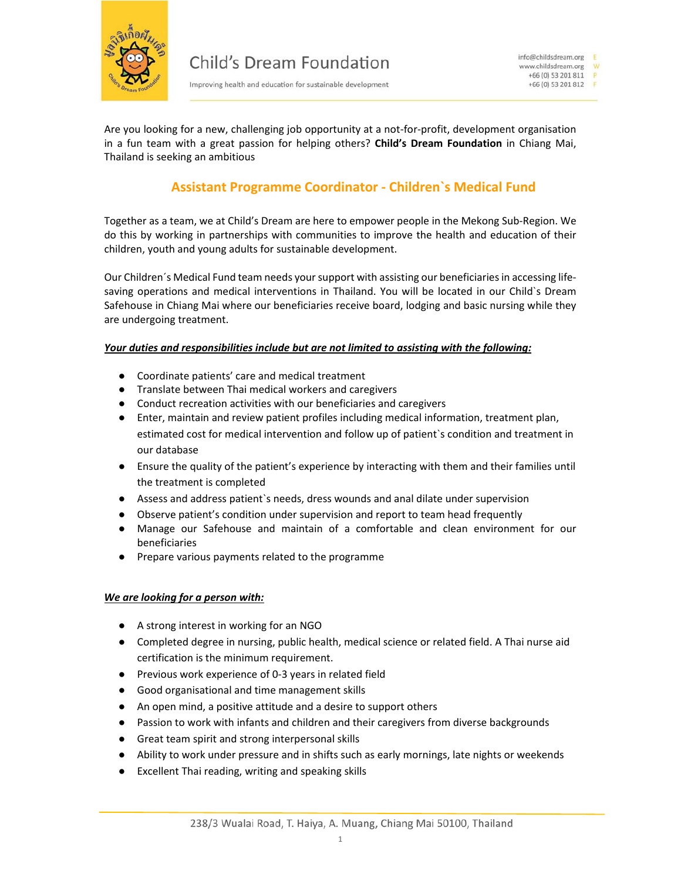

Improving health and education for sustainable development

Are you looking for a new, challenging job opportunity at a not-for-profit, development organisation in a fun team with a great passion for helping others? **Child's Dream Foundation** in Chiang Mai, Thailand is seeking an ambitious

## **Assistant Programme Coordinator ‐ Children`s Medical Fund**

Together as a team, we at Child's Dream are here to empower people in the Mekong Sub‐Region. We do this by working in partnerships with communities to improve the health and education of their children, youth and young adults for sustainable development.

Our Children´s Medical Fund team needs your support with assisting our beneficiaries in accessing life‐ saving operations and medical interventions in Thailand. You will be located in our Child's Dream Safehouse in Chiang Mai where our beneficiaries receive board, lodging and basic nursing while they are undergoing treatment.

## *Your duties and responsibilities include but are not limited to assisting with the following:*

- Coordinate patients' care and medical treatment
- Translate between Thai medical workers and caregivers
- Conduct recreation activities with our beneficiaries and caregivers
- Enter, maintain and review patient profiles including medical information, treatment plan, estimated cost for medical intervention and follow up of patient`s condition and treatment in our database
- Ensure the quality of the patient's experience by interacting with them and their families until the treatment is completed
- Assess and address patient`s needs, dress wounds and anal dilate under supervision
- Observe patient's condition under supervision and report to team head frequently
- Manage our Safehouse and maintain of a comfortable and clean environment for our beneficiaries
- Prepare various payments related to the programme

## *We are looking for a person with:*

- A strong interest in working for an NGO
- Completed degree in nursing, public health, medical science or related field. A Thai nurse aid certification is the minimum requirement.
- Previous work experience of 0-3 years in related field
- Good organisational and time management skills
- An open mind, a positive attitude and a desire to support others
- Passion to work with infants and children and their caregivers from diverse backgrounds
- Great team spirit and strong interpersonal skills
- Ability to work under pressure and in shifts such as early mornings, late nights or weekends
- Excellent Thai reading, writing and speaking skills